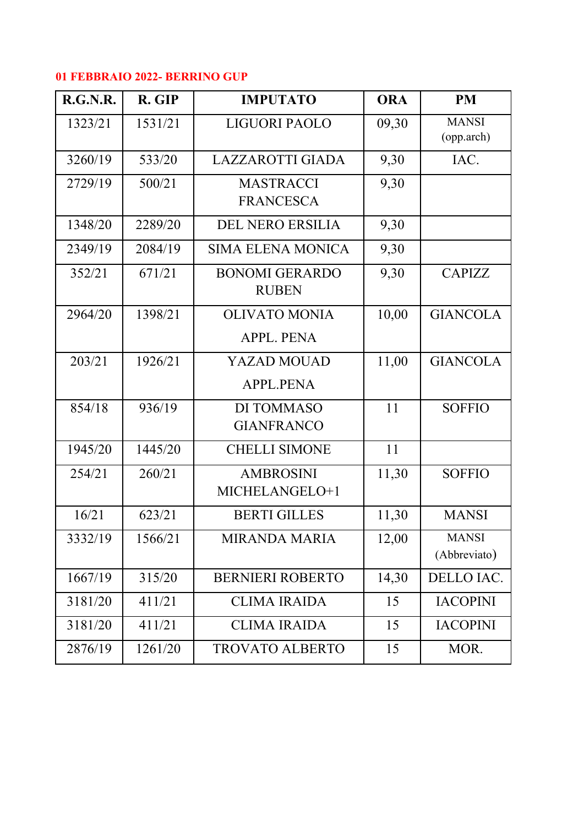## **01 FEBBRAIO 2022- BERRINO GUP**

| <b>R.G.N.R.</b> | R. GIP  | <b>IMPUTATO</b>                           | <b>ORA</b> | <b>PM</b>                    |
|-----------------|---------|-------------------------------------------|------------|------------------------------|
| 1323/21         | 1531/21 | <b>LIGUORI PAOLO</b>                      | 09,30      | <b>MANSI</b><br>(opp.arch)   |
| 3260/19         | 533/20  | <b>LAZZAROTTI GIADA</b>                   | 9,30       | IAC.                         |
| 2729/19         | 500/21  | <b>MASTRACCI</b><br><b>FRANCESCA</b>      | 9,30       |                              |
| 1348/20         | 2289/20 | <b>DEL NERO ERSILIA</b>                   | 9,30       |                              |
| 2349/19         | 2084/19 | <b>SIMA ELENA MONICA</b>                  | 9,30       |                              |
| 352/21          | 671/21  | <b>BONOMI GERARDO</b><br><b>RUBEN</b>     | 9,30       | <b>CAPIZZ</b>                |
| 2964/20         | 1398/21 | <b>OLIVATO MONIA</b><br><b>APPL. PENA</b> | 10,00      | <b>GIANCOLA</b>              |
| 203/21          | 1926/21 | <b>YAZAD MOUAD</b><br><b>APPL.PENA</b>    | 11,00      | <b>GIANCOLA</b>              |
| 854/18          | 936/19  | DI TOMMASO<br><b>GIANFRANCO</b>           | 11         | <b>SOFFIO</b>                |
| 1945/20         | 1445/20 | <b>CHELLI SIMONE</b>                      | 11         |                              |
| 254/21          | 260/21  | <b>AMBROSINI</b><br>MICHELANGELO+1        | 11,30      | <b>SOFFIO</b>                |
| 16/21           | 623/21  | <b>BERTI GILLES</b>                       | 11,30      | <b>MANSI</b>                 |
| 3332/19         | 1566/21 | <b>MIRANDA MARIA</b>                      | 12,00      | <b>MANSI</b><br>(Abbreviato) |
| 1667/19         | 315/20  | <b>BERNIERI ROBERTO</b>                   | 14,30      | DELLO IAC.                   |
| 3181/20         | 411/21  | <b>CLIMA IRAIDA</b>                       | 15         | <b>IACOPINI</b>              |
| 3181/20         | 411/21  | <b>CLIMA IRAIDA</b>                       | 15         | <b>IACOPINI</b>              |
| 2876/19         | 1261/20 | <b>TROVATO ALBERTO</b>                    | 15         | MOR.                         |